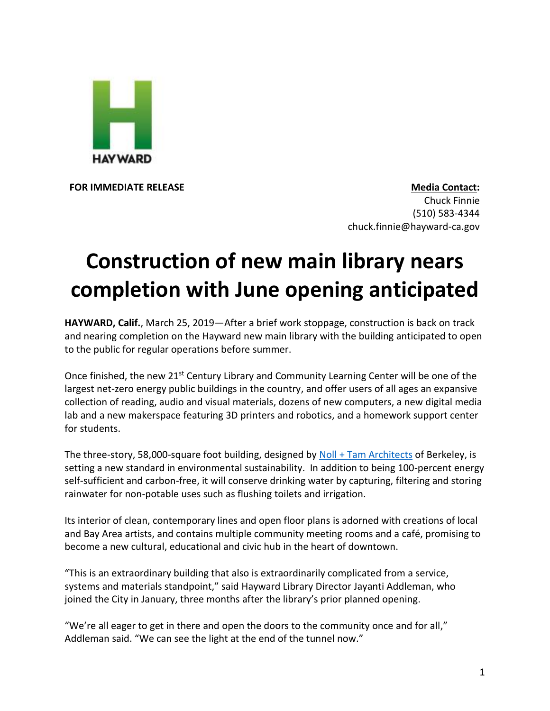

**FOR IMMEDIATE RELEASE Media Contact:** Chuck Finnie (510) 583-4344 chuck.finnie@hayward-ca.gov

## **Construction of new main library nears completion with June opening anticipated**

**HAYWARD, Calif.**, March 25, 2019—After a brief work stoppage, construction is back on track and nearing completion on the Hayward new main library with the building anticipated to open to the public for regular operations before summer.

Once finished, the new  $21^{st}$  Century Library and Community Learning Center will be one of the largest net-zero energy public buildings in the country, and offer users of all ages an expansive collection of reading, audio and visual materials, dozens of new computers, a new digital media lab and a new makerspace featuring 3D printers and robotics, and a homework support center for students.

The three-story, 58,000-square foot building, designed by [Noll + Tam Architects](https://www.nollandtam.com/) of Berkeley, is setting a new standard in environmental sustainability. In addition to being 100-percent energy self-sufficient and carbon-free, it will conserve drinking water by capturing, filtering and storing rainwater for non-potable uses such as flushing toilets and irrigation.

Its interior of clean, contemporary lines and open floor plans is adorned with creations of local and Bay Area artists, and contains multiple community meeting rooms and a café, promising to become a new cultural, educational and civic hub in the heart of downtown.

"This is an extraordinary building that also is extraordinarily complicated from a service, systems and materials standpoint," said Hayward Library Director Jayanti Addleman, who joined the City in January, three months after the library's prior planned opening.

"We're all eager to get in there and open the doors to the community once and for all," Addleman said. "We can see the light at the end of the tunnel now."